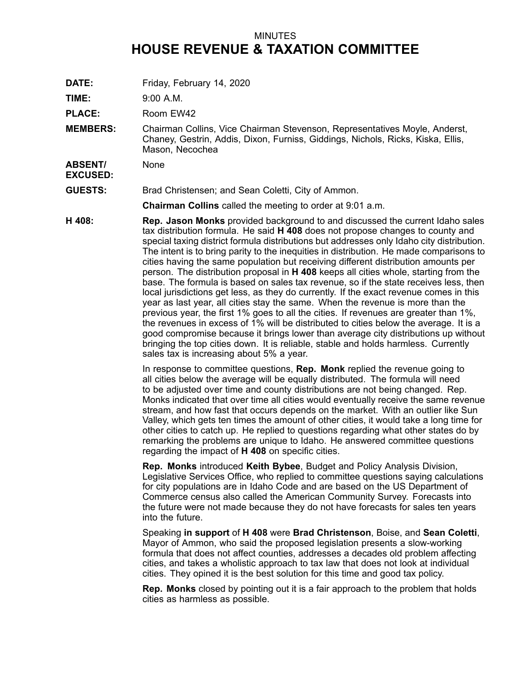## MINUTES **HOUSE REVENUE & TAXATION COMMITTEE**

**DATE:** Friday, February 14, 2020

**TIME:** 9:00 A.M.

PLACE: Room EW42

**MEMBERS:** Chairman Collins, Vice Chairman Stevenson, Representatives Moyle, Anderst, Chaney, Gestrin, Addis, Dixon, Furniss, Giddings, Nichols, Ricks, Kiska, Ellis, Mason, Necochea

**ABSENT/ EXCUSED:** None

**GUESTS:** Brad Christensen; and Sean Coletti, City of Ammon.

**Chairman Collins** called the meeting to order at 9:01 a.m.

**H 408: Rep. Jason Monks** provided background to and discussed the current Idaho sales tax distribution formula. He said **H 408** does not propose changes to county and special taxing district formula distributions but addresses only Idaho city distribution. The intent is to bring parity to the inequities in distribution. He made comparisons to cities having the same population but receiving different distribution amounts per person. The distribution proposal in **H 408** keeps all cities whole, starting from the base. The formula is based on sales tax revenue, so if the state receives less, then local jurisdictions get less, as they do currently. If the exact revenue comes in this year as last year, all cities stay the same. When the revenue is more than the previous year, the first 1% goes to all the cities. If revenues are greater than 1%, the revenues in excess of 1% will be distributed to cities below the average. It is <sup>a</sup> good compromise because it brings lower than average city distributions up without bringing the top cities down. It is reliable, stable and holds harmless. Currently sales tax is increasing about 5% <sup>a</sup> year.

> In response to committee questions, **Rep. Monk** replied the revenue going to all cities below the average will be equally distributed. The formula will need to be adjusted over time and county distributions are not being changed. Rep. Monks indicated that over time all cities would eventually receive the same revenue stream, and how fast that occurs depends on the market. With an outlier like Sun Valley, which gets ten times the amount of other cities, it would take <sup>a</sup> long time for other cities to catch up. He replied to questions regarding what other states do by remarking the problems are unique to Idaho. He answered committee questions regarding the impact of **H 408** on specific cities.

> **Rep. Monks** introduced **Keith Bybee**, Budget and Policy Analysis Division, Legislative Services Office, who replied to committee questions saying calculations for city populations are in Idaho Code and are based on the US Department of Commerce census also called the American Community Survey. Forecasts into the future were not made because they do not have forecasts for sales ten years into the future.

Speaking **in support** of **H 408** were **Brad Christenson**, Boise, and **Sean Coletti**, Mayor of Ammon, who said the proposed legislation presents <sup>a</sup> slow-working formula that does not affect counties, addresses <sup>a</sup> decades old problem affecting cities, and takes <sup>a</sup> wholistic approach to tax law that does not look at individual cities. They opined it is the best solution for this time and good tax policy.

**Rep. Monks** closed by pointing out it is <sup>a</sup> fair approach to the problem that holds cities as harmless as possible.